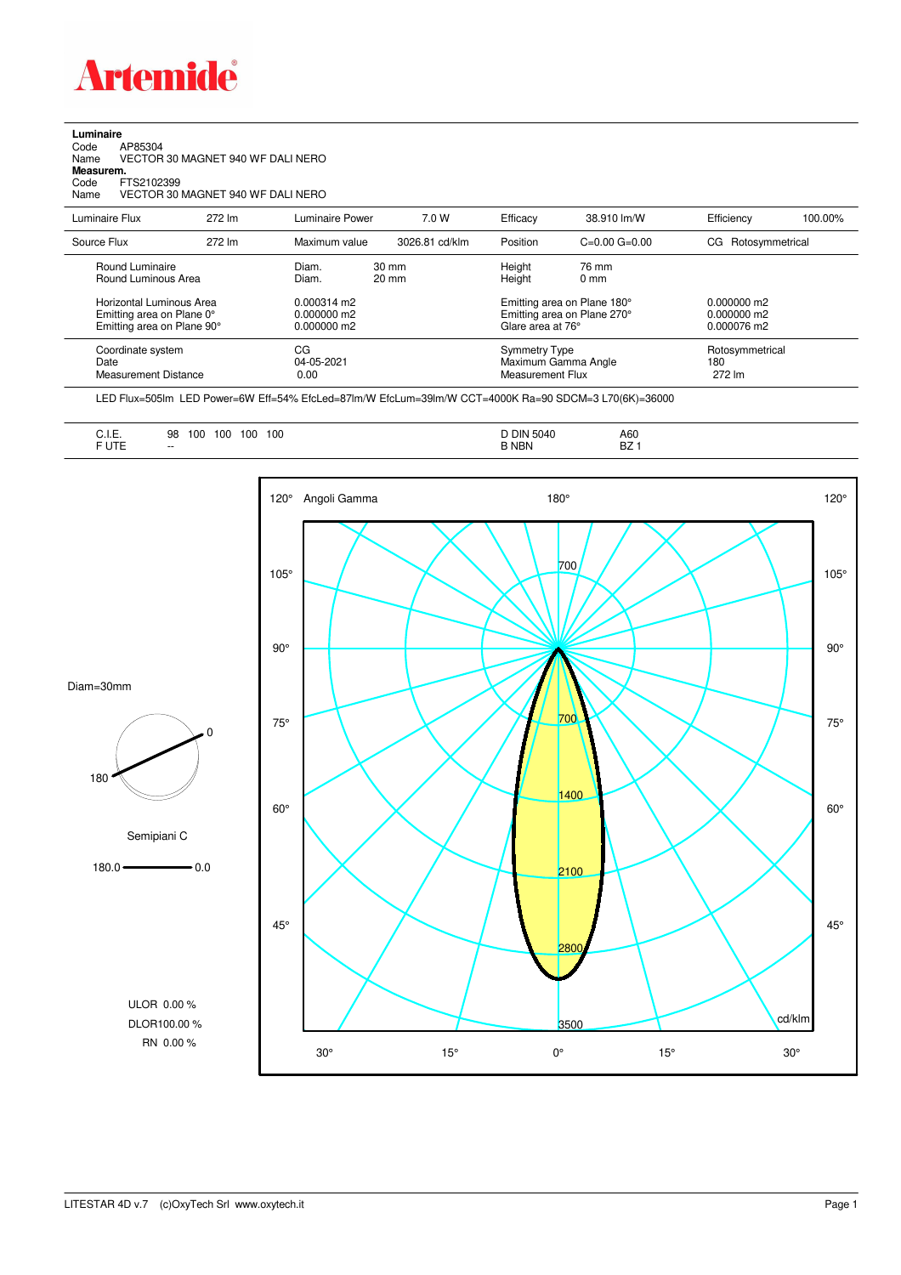

## **Luminaire**<br>Code<br>Name Code AP85304 Name VECTOR 30 MAGNET 940 WF DALI NERO **Measurem.** Code FTS2102399<br>Name VECTOR 30 Name VECTOR 30 MAGNET 940 WF DALI NERO

| Luminaire Flux                                                                             | 272 lm | Luminaire Power                                        | 7.0 W                              | Efficacy                                                                        | 38.910 lm/W             | Efficiency                                    | 100.00% |
|--------------------------------------------------------------------------------------------|--------|--------------------------------------------------------|------------------------------------|---------------------------------------------------------------------------------|-------------------------|-----------------------------------------------|---------|
| Source Flux                                                                                | 272 lm | Maximum value                                          | 3026.81 cd/klm                     | Position                                                                        | $C=0.00$ $G=0.00$       | Rotosymmetrical<br>CG                         |         |
| Round Luminaire<br>Round Luminous Area                                                     |        | Diam.<br>Diam.                                         | $30 \text{ mm}$<br>$20 \text{ mm}$ | Height<br>Height                                                                | 76 mm<br>$0 \text{ mm}$ |                                               |         |
| <b>Horizontal Luminous Area</b><br>Emitting area on Plane 0°<br>Emitting area on Plane 90° |        | $0.000314 \text{ m}$<br>$0.000000$ m2<br>$0.000000$ m2 |                                    | Emitting area on Plane 180°<br>Emitting area on Plane 270°<br>Glare area at 76° |                         | $0.000000$ m2<br>$0.000000$ m2<br>0.000076 m2 |         |
| Coordinate system<br>Date<br><b>Measurement Distance</b>                                   |        | CG<br>04-05-2021<br>0.00                               |                                    | Symmetry Type<br>Maximum Gamma Angle<br>Measurement Flux                        |                         | Rotosymmetrical<br>180<br>272 lm              |         |

LED Flux=505lm LED Power=6W Eff=54% EfcLed=87lm/W EfcLum=39lm/W CCT=4000K Ra=90 SDCM=3 L70(6K)=36000